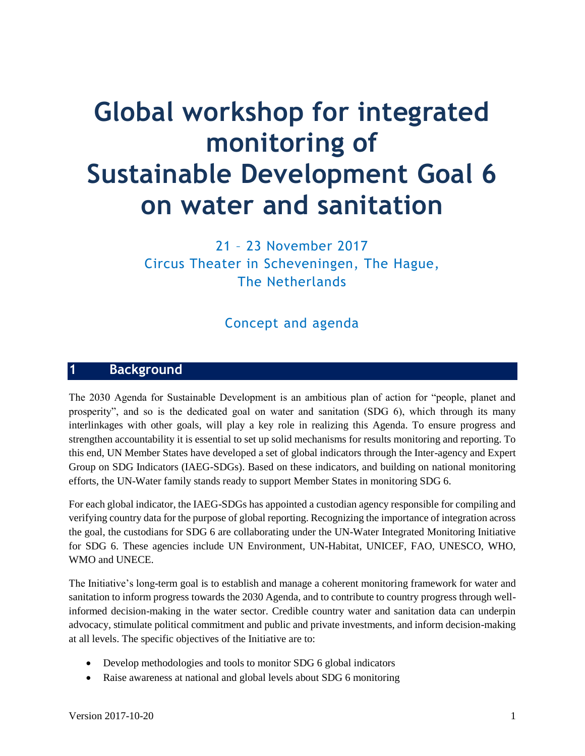# **Global workshop for integrated monitoring of Sustainable Development Goal 6 on water and sanitation**

21 – 23 November 2017 Circus Theater in Scheveningen, The Hague, The Netherlands

# Concept and agenda

## **1 Background**

The 2030 Agenda for Sustainable Development is an ambitious plan of action for "people, planet and prosperity", and so is the dedicated goal on water and sanitation (SDG 6), which through its many interlinkages with other goals, will play a key role in realizing this Agenda. To ensure progress and strengthen accountability it is essential to set up solid mechanisms for results monitoring and reporting. To this end, UN Member States have developed a set of global indicators through the Inter-agency and Expert Group on SDG Indicators (IAEG-SDGs). Based on these indicators, and building on national monitoring efforts, the UN-Water family stands ready to support Member States in monitoring SDG 6.

For each global indicator, the IAEG-SDGs has appointed a custodian agency responsible for compiling and verifying country data for the purpose of global reporting. Recognizing the importance of integration across the goal, the custodians for SDG 6 are collaborating under the UN-Water Integrated Monitoring Initiative for SDG 6. These agencies include UN Environment, UN-Habitat, UNICEF, FAO, UNESCO, WHO, WMO and UNECE.

The Initiative's long-term goal is to establish and manage a coherent monitoring framework for water and sanitation to inform progress towards the 2030 Agenda, and to contribute to country progress through wellinformed decision-making in the water sector. Credible country water and sanitation data can underpin advocacy, stimulate political commitment and public and private investments, and inform decision-making at all levels. The specific objectives of the Initiative are to:

- Develop methodologies and tools to monitor SDG 6 global indicators
- Raise awareness at national and global levels about SDG 6 monitoring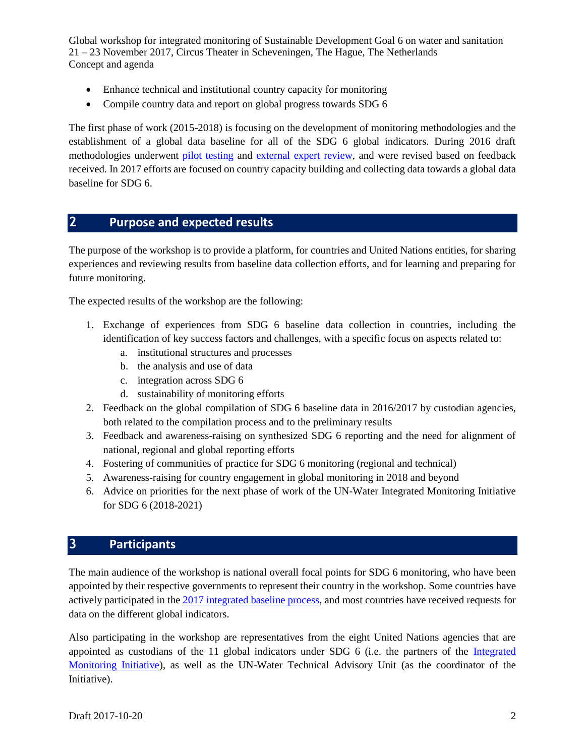- Enhance technical and institutional country capacity for monitoring
- Compile country data and report on global progress towards SDG 6

The first phase of work (2015-2018) is focusing on the development of monitoring methodologies and the establishment of a global data baseline for all of the SDG 6 global indicators. During 2016 draft methodologies underwent [pilot testing](http://www.sdg6monitoring.org/news/?tag=Pilot+testing) and [external expert review,](http://www.sdg6monitoring.org/news/2017/3/23/results-of-2016-pilot-testing-and-external-review) and were revised based on feedback received. In 2017 efforts are focused on country capacity building and collecting data towards a global data baseline for SDG 6.

## **2 Purpose and expected results**

The purpose of the workshop is to provide a platform, for countries and United Nations entities, for sharing experiences and reviewing results from baseline data collection efforts, and for learning and preparing for future monitoring.

The expected results of the workshop are the following:

- 1. Exchange of experiences from SDG 6 baseline data collection in countries, including the identification of key success factors and challenges, with a specific focus on aspects related to:
	- a. institutional structures and processes
	- b. the analysis and use of data
	- c. integration across SDG 6
	- d. sustainability of monitoring efforts
- 2. Feedback on the global compilation of SDG 6 baseline data in 2016/2017 by custodian agencies, both related to the compilation process and to the preliminary results
- 3. Feedback and awareness-raising on synthesized SDG 6 reporting and the need for alignment of national, regional and global reporting efforts
- 4. Fostering of communities of practice for SDG 6 monitoring (regional and technical)
- 5. Awareness-raising for country engagement in global monitoring in 2018 and beyond
- 6. Advice on priorities for the next phase of work of the UN-Water Integrated Monitoring Initiative for SDG 6 (2018-2021)

## **3 Participants**

The main audience of the workshop is national overall focal points for SDG 6 monitoring, who have been appointed by their respective governments to represent their country in the workshop. Some countries have actively participated in the [2017 integrated baseline process,](http://www.sdg6monitoring.org/news/?tag=Baseline) and most countries have received requests for data on the different global indicators.

Also participating in the workshop are representatives from the eight United Nations agencies that are appointed as custodians of the 11 global indicators under SDG 6 (i.e. the partners of the [Integrated](http://www.unwater.org/what-we-do/monitor-and-report/)  [Monitoring Initiative\)](http://www.unwater.org/what-we-do/monitor-and-report/), as well as the UN-Water Technical Advisory Unit (as the coordinator of the Initiative).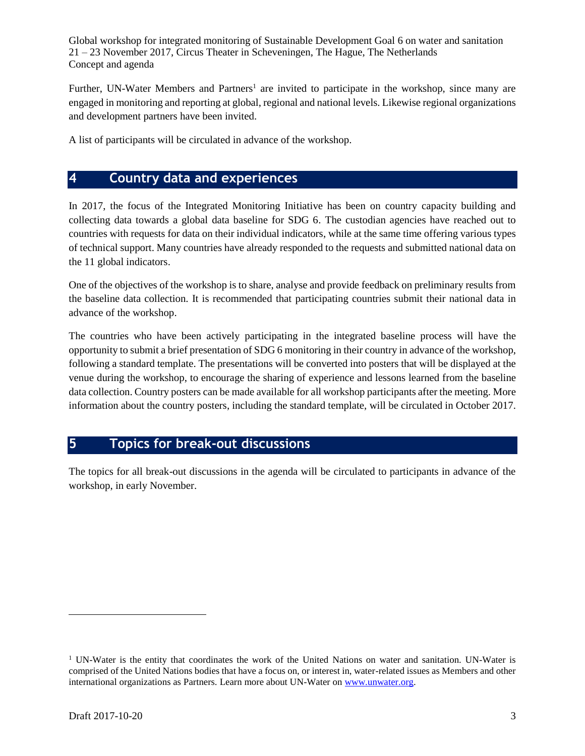Further, UN-Water Members and Partners<sup>1</sup> are invited to participate in the workshop, since many are engaged in monitoring and reporting at global, regional and national levels. Likewise regional organizations and development partners have been invited.

A list of participants will be circulated in advance of the workshop.

## **4 Country data and experiences**

In 2017, the focus of the Integrated Monitoring Initiative has been on country capacity building and collecting data towards a global data baseline for SDG 6. The custodian agencies have reached out to countries with requests for data on their individual indicators, while at the same time offering various types of technical support. Many countries have already responded to the requests and submitted national data on the 11 global indicators.

One of the objectives of the workshop is to share, analyse and provide feedback on preliminary results from the baseline data collection. It is recommended that participating countries submit their national data in advance of the workshop.

The countries who have been actively participating in the integrated baseline process will have the opportunity to submit a brief presentation of SDG 6 monitoring in their country in advance of the workshop, following a standard template. The presentations will be converted into posters that will be displayed at the venue during the workshop, to encourage the sharing of experience and lessons learned from the baseline data collection. Country posters can be made available for all workshop participants after the meeting. More information about the country posters, including the standard template, will be circulated in October 2017.

# **5 Topics for break-out discussions**

The topics for all break-out discussions in the agenda will be circulated to participants in advance of the workshop, in early November.

l

<sup>&</sup>lt;sup>1</sup> UN-Water is the entity that coordinates the work of the United Nations on water and sanitation. UN-Water is comprised of the United Nations bodies that have a focus on, or interest in, water-related issues as Members and other international organizations as Partners. Learn more about UN-Water on [www.unwater.org.](http://www.unwater.org/)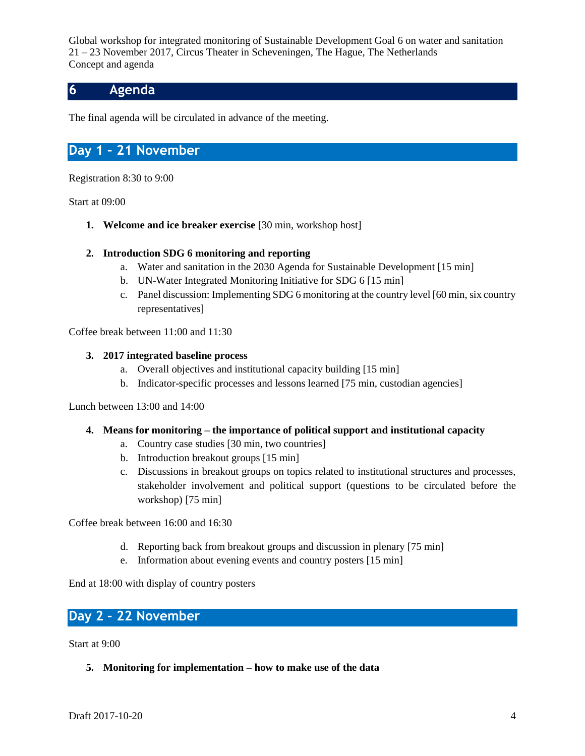## **6 Agenda**

The final agenda will be circulated in advance of the meeting.

## **Day 1 – 21 November**

Registration 8:30 to 9:00

Start at 09:00

**1. Welcome and ice breaker exercise** [30 min, workshop host]

#### **2. Introduction SDG 6 monitoring and reporting**

- a. Water and sanitation in the 2030 Agenda for Sustainable Development [15 min]
- b. UN-Water Integrated Monitoring Initiative for SDG 6 [15 min]
- c. Panel discussion: Implementing SDG 6 monitoring at the country level [60 min, six country representatives]

Coffee break between 11:00 and 11:30

#### **3. 2017 integrated baseline process**

- a. Overall objectives and institutional capacity building [15 min]
- b. Indicator-specific processes and lessons learned [75 min, custodian agencies]

Lunch between 13:00 and 14:00

#### **4. Means for monitoring – the importance of political support and institutional capacity**

- a. Country case studies [30 min, two countries]
- b. Introduction breakout groups [15 min]
- c. Discussions in breakout groups on topics related to institutional structures and processes, stakeholder involvement and political support (questions to be circulated before the workshop) [75 min]

Coffee break between 16:00 and 16:30

- d. Reporting back from breakout groups and discussion in plenary [75 min]
- e. Information about evening events and country posters [15 min]

End at 18:00 with display of country posters

## **Day 2 – 22 November**

Start at 9:00

**5. Monitoring for implementation – how to make use of the data**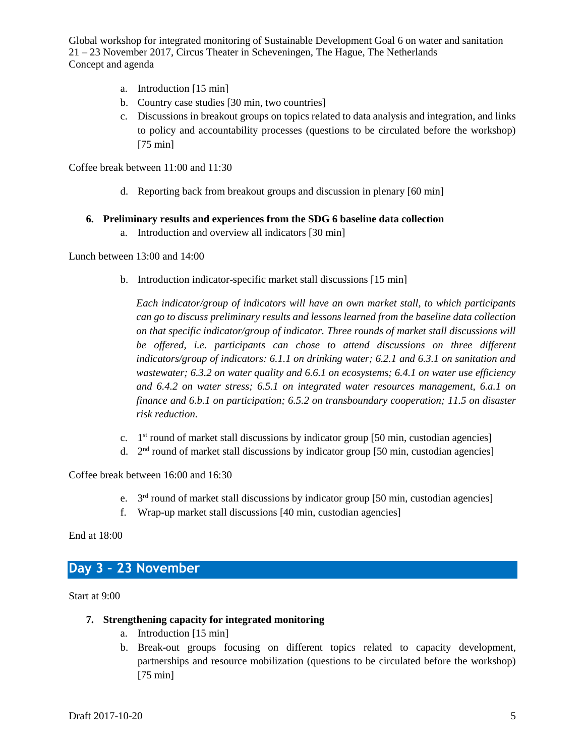- a. Introduction [15 min]
- b. Country case studies [30 min, two countries]
- c. Discussions in breakout groups on topics related to data analysis and integration, and links to policy and accountability processes (questions to be circulated before the workshop) [75 min]

Coffee break between 11:00 and 11:30

d. Reporting back from breakout groups and discussion in plenary [60 min]

#### **6. Preliminary results and experiences from the SDG 6 baseline data collection**

a. Introduction and overview all indicators [30 min]

#### Lunch between 13:00 and 14:00

b. Introduction indicator-specific market stall discussions [15 min]

*Each indicator/group of indicators will have an own market stall, to which participants can go to discuss preliminary results and lessons learned from the baseline data collection on that specific indicator/group of indicator. Three rounds of market stall discussions will*  be offered, *i.e. participants can chose to attend discussions on three different indicators/group of indicators: 6.1.1 on drinking water; 6.2.1 and 6.3.1 on sanitation and wastewater; 6.3.2 on water quality and 6.6.1 on ecosystems; 6.4.1 on water use efficiency and 6.4.2 on water stress; 6.5.1 on integrated water resources management, 6.a.1 on finance and 6.b.1 on participation; 6.5.2 on transboundary cooperation; 11.5 on disaster risk reduction.* 

- c. 1 st round of market stall discussions by indicator group [50 min, custodian agencies]
- d.  $2<sup>nd</sup>$  round of market stall discussions by indicator group [50 min, custodian agencies]

Coffee break between 16:00 and 16:30

- e. 3<sup>rd</sup> round of market stall discussions by indicator group [50 min, custodian agencies]
- f. Wrap-up market stall discussions [40 min, custodian agencies]

End at 18:00

## **Day 3 – 23 November**

Start at 9:00

- **7. Strengthening capacity for integrated monitoring**
	- a. Introduction [15 min]
	- b. Break-out groups focusing on different topics related to capacity development, partnerships and resource mobilization (questions to be circulated before the workshop) [75 min]